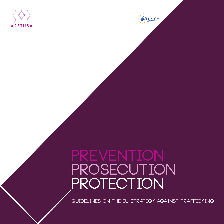



# **prevention PROSECUTION protection**

**Guidelines on the EU Strategy against trafficking**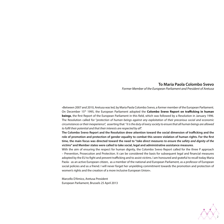# **To Maria Paola Colombo Svevo**

*Former Member of the European Parliament and President of Aretusa* 

«Between 2007 and 2010, Aretusa was led, by Maria Paola Colombo Svevo, a former member of the European Parliament. On December 15th 1995, the European Parliament adopted the **Colombo Svevo Report on trafficking in human beings**, the first Report of the European Parliament in this field, which was followed by a Resolution in January 1996. The Resolution called for "*protection of human beings against any exploitation of their precarious social and economic circumstances or their inexperience*", asserting that "*it is the duty of every society to ensure that all human beings are allowed to fulfil their potential and that their interests are respected by all*".

**The Colombo Svevo Report and the Resolution drew attention toward the social dimension of trafficking and the role of promotion and protection of gender equality to combat this severe violation of human rights. For the first time, the main focus was directed toward the need to "***take direct measures to ensure the safety and dignity of the victims***" and Member states were called to take social, legal and administrative assistance measures**.

With the aim of ensuring the respect for human dignity, the Colombo Svevo Report called for the three P approach – Prevention, Prosecution and Protection. It can be considered the basis for subsequent legal and financial measures adopted by the EU to fight and prevent trafficking and to assist victims. I am honoured and grateful to recall today Maria Paola - as an active European citizen, as a member of the national and European Parliament, as a professor of European social policies and as a friend. I will never forget her unyielding commitment towards the promotion and protection of women's rights and the creation of a more inclusive European Union».

Marcello D'Amico, Aretusa President European Parliament, Brussels 25 April 2013

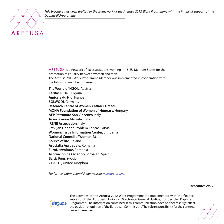

*This brochure has been drafted in the framework of the Aretusa 2012 Work Programme with the financial support of the Daphne III Programme*

ARETUSA is a network of 18 associations working in 15 EU Member States for the promotion of equality between women and men. The Aretusa 2012 Work Programme Member was implemented in cooperation with the following member organisations:

**The World of NGO's,** Austria **Caritas Ruse**, Bulgaria **Amicale du Nid,** France **SOLWODI**, Germany **Research Centre of Women's Affairs**, Greece **MONA Foundation of Women of Hungary,** Hungary **AFP Patronato San Vincenzo**, Italy **Associazione Micaela**, Italy **IRENE Association**, Italy **Latvijan Gender Problem Centre**, Latvia **Women's Issue Information Center**, Lithuania **National Council of Women**, Malta **Source of life,** Poland **Asociatia Aproapele**, Romania **EuroDezvoltare,** Romania **Asociacion de Oviedo y Jorbalan**, Spain **Baltic Fem**, Sweden **CHASTE,** United Kingdom

*For further information visit our website www.aretusa.net* 

*December 2012*



The activities of the Aretusa 2012 Work Programme are implemented with the financial support of the European Union - Directorate General Justice, under the Daphne III Programme. The information contained in this communication does not necessarily reflect the position or opinion of the European Commission. The sole responsibility for the contents lies with Aretusa.

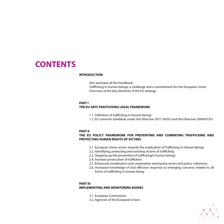# **CONTENTS**

#### **INTRODUCTION**

Aim and basis of the handbook Trafficking in human beings: a challenge and a commitment for the European Union Overview of the key elements of the EU strategy

#### **PART I**

#### **THE EU ANTI-TRAFFICKING LEGAL FRAMEWORK**

- 1.1. Definition of trafficking in human beings
- 1.2. EU common standards under the Directive 2011/36/EU and the Directive 2004/81/EU

#### **PART II**

#### **THE EU POLICY FRAMEWORK FOR PREVENTING AND COMBATING TRAFFICKING AND PROTECTING HUMAN RIGHTS OF VICTIMS**

- 2.1. European Union action towards the eradication of Trafficking in Human Beings
- 2.2. Identifying, protecting and assisting victims of trafficking
- 2.3. Stepping up the prevention of traffickingin human beings
- 2.4. Increase prosecution of traffickers
- 2.5. Enhanced coordination and cooperation among key actors and policy coherence
- 2.6. Increased knowledge of and effective response to emerging concerns related to all forms of trafficking in human being

#### **PART III**

#### **IMPLEMENTING AND MONITORING BODIES**

- 3.1. European Commission
- 3.2. Agencies of the European Union

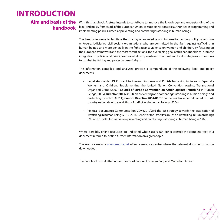# **INTRODUCTION**

# **Aim and basis of the handbook**

With this handbook Aretusa intends to contribute to improve the knowledge and understanding of the legal and policy framework of the European Union, to support responsible authorities in programming and implementing policies aimed at preventing and combating trafficking in human beings.

The handbook seeks to facilitate the sharing of knowledge and information among policymakers, law enforcers, judiciaries, civil society organisations who are committed in the fight against trafficking in human beings, and more generally in the fight against violence on women and children. By focusing on the European framework and the most recent actions, the overaching goal of this handbook is to promote integration of policies and principles created at European level in national and local strategies and measures to combat trafficking and protect women's rights.

The information compiled and analysed provide a compendium of the following legal and policy documents:

- **• Legal standards: UN Protocol** to Prevent, Suppress and Punish Trafficking in Persons, Especially Women and Children, Supplementing the United Nation Convention Against Transnational Organised Crime (2000); **Council of Europe Convention on Action against Trafficking** in Human Beings (2005); **Directive 2011/36/EU** on preventing and combating trafficking in human beings and protecting its victims (2011); **Council Directive 2004/81/CE** on the residence permit issued to thirdcountry nationals who are victims of trafficking in human beings (2004);
- Political documents: Communication COM(2012)286 the EU Strategy towards the Eradication of Trafficking in human Beings 2012-2016; Report of the Experts' Groups on Trafficking in Human Beings (2004); Brussels Declaration on preventing and combating trafficking in human beings (2002).

Where possible, online resources are indicated where users can either consult the complete text of a document referred to, or find further information on a given topic.

The Aretusa website www.aretusa.net offers a resource centre where the relevant documents can be downloaded.

The handbook was drafted under the coordination of Roselyn Borg and Marcello D'Amico

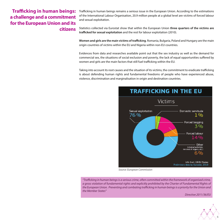# **Trafficking in human beings: a challenge and a commitment for the European Union and its citizens**

Trafficking in human beings remains a serious issue in the European Union. According to the estimations of the International Labour Organisation, 20.9 million people at a global level are victims of forced labour and sexual exploitation.

Statistics collected via Eurostat show that within the European Union **three quarters of the victims are trafficked for sexual exploitation** and the rest for labour exploitation (2010).

**Women and girls are the main victims of trafficking**. Romania, Bulgaria, Poland and Hungary are the main origin countries of victims within the EU and Nigeria within non-EU countries.

Evidences from data and researches available point out that the sex industry as well as the demand for commercial sex, the situations of social exclusion and poverty, the lack of equal opportunities suffered by women and girls are the main factors that still fuel trafficking within the EU.

Taking into account its root causes and the situation of its victims, the commitment to eradicate trafficking is about defending human rights and fundamental freedoms of people who have experienced abuse, violence, discrimination and marginalisation in origin and destination countries.



*Source: European Commission*

*"Trafficking in human beings is a serious crime, often committed within the framework of organised crime, a gross violation of fundamental rights and explicitly prohibited by the Charter of Fundamental Rights of the European Union. Preventing and combating trafficking in human beings is a priority for the Union and the Member States"*

*Directive 2011/36/EU*

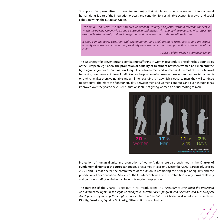To support European citizens to exercise and enjoy their rights and to ensure respect of fundamental human rights is part of the integration process and condition for sustainable economic growth and social cohesion within the European Union.

*"The Union shall offer its citizens an area of freedom, security and justice without internal frontiers, in which the free movement of persons is ensured in conjunction with appropriate measures with respect to external border controls, asylum, immigration and the prevention and combating of crime*

*It shall combat social exclusion and discrimination, and shall promote social justice and protection,*  equality between women and men, solidarity between generations and protection of the rights of the *child".*

*Article 3 of the Treaty on European Union*

The EU strategy for preventing and combating trafficking in women responds to one of the basic principles of the European legislation: **the promotion of equality of treatment between women and men and the fight against gender discrimination**. Inequality between men and women is at the root of the problem of trafficking. Women are victims of trafficking as the position of women in the economic and social context is one which makes them vulnerable and until their standing is that which is equal to men, they will continue to be victims. Therefore the fight for equality between men and women continues and even though it has improved over the years, the current situation is still not giving women an equal footing to men.



Protection of human dignity and promotion of women's rights are also enshrined in the **Charter of Fundamental Rights of the European Union**, proclaimed in Nice on 7 December 2000, particularly articles 20, 21 and 23 that decree the commitment of the Union in promoting the principle of equality and the prohibition of discrimination. Article 5 of the Charter contains also the prohibition of any forms of slavery and considers trafficking in human beings its modern expression.

The purpose of the Charter is set out in its introduction: "*it is necessary to strengthen the protection of fundamental rights in the light of changes in society, social progress and scientific and technological developments by making those rights more visible in a Charter*". The Charter is divided into six sections: Dignity, Freedoms, Equality, Solidarity, Citizens' Rights and Justice.

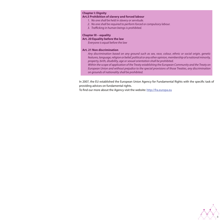#### **Chapter I: Dignity**

#### **Art.5 Prohibition of slavery and forced labour**

- *1. No one shall be held in slavery or servitude.*
- *2. No one shall be required to perform forced or compulsory labour.*
- *3. Trafficking in human beings is prohibited.*

#### **Chapter III – equality**

#### **Art. 20 Equality before the law**

*Everyone is equal before the law*

#### **Art. 21 Non discrimination**

*Any discrimination based on any ground such as sex, race, colour, ethnic or social origin, genetic features, language, religion or belief, political or any other opinion, membership of a national minority, property, birth, disability, age or sexual orientation shall be prohibited.* 

*Within the scope of application of the Treaty establishing the European Community and the Treaty on European Union and without prejudice to the special provisions of those Treaties, any discrimination on grounds of nationality shall be prohibited.* 

In 2007, the EU established the European Union Agency for Fundamental Rights with the specific task of providing advices on fundamental rights.

To find our more about the Agency visit the website: http://fra.europa.eu

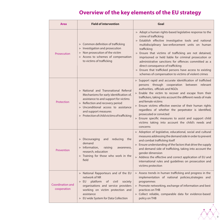# **Overview of the key elements of the EU strategy**

| <b>Area</b>                            | <b>Field of intervention</b>                                                                                                                                                                                                                                                                                                              | Goal                                                                                                                                                                                                                                                                                                                                                                                                                                                                                                                                                                                                                      |
|----------------------------------------|-------------------------------------------------------------------------------------------------------------------------------------------------------------------------------------------------------------------------------------------------------------------------------------------------------------------------------------------|---------------------------------------------------------------------------------------------------------------------------------------------------------------------------------------------------------------------------------------------------------------------------------------------------------------------------------------------------------------------------------------------------------------------------------------------------------------------------------------------------------------------------------------------------------------------------------------------------------------------------|
| Prosecution                            | $\triangleright$ Common definition of trafficking<br>$\triangleright$ Investigation and prosecution<br>$\triangleright$ Non prosecution of the victim<br>$\triangleright$ Access to schemes of compensation<br>to victims of trafficking                                                                                                  | $\triangleright$ Adopt a human rights-based legislative response to the<br>crime of trafficking<br>$\triangleright$ Establish effective investigative tools and national<br>multidisciplinary law-enforcement units on human<br>trafficking<br>$\triangleright$ Ensure that victims of trafficking are not detained,<br>imprisoned or held liable for criminal prosecution or<br>administrative sanctions for offences committed as a<br>direct consequence of trafficking<br>$\triangleright$ Ensure that trafficked persons have access to existing<br>schemes of compensation to victims of violent crimes             |
| Protection                             | $\triangleright$ National and Transnational Referral<br>Mechanisms for early identification of,<br>assistance to and support for victims<br>$\triangleright$ Reflection and recovery period<br>$\triangleright$ Unconditional access to assistance<br>and support measures<br>$\triangleright$ Protection of child victims of trafficking | $\triangleright$ Support rapid and accurate identification of trafficked<br>through cooperation<br>between<br>relevant<br>persons<br>authorities, officials and NGOs<br>$\triangleright$ Enable the victim to recover and escape from their<br>traffickers, taking into account the different needs of male<br>and female victims<br>Ensure victims effective exercise of their human rights<br>regardless of whether the perpetrator is identified,<br>prosecuted or convicted<br>$\triangleright$ Ensure specific measures to assist and support child<br>victims taking into account the child's needs and<br>concerns |
| Prevention                             | $\triangleright$ Discouraging<br>reducing<br>and<br>the<br>demand<br>$\triangleright$ Information,<br>raising<br>awareness,<br>research, education<br>$\triangleright$ Training for those who work in the<br>field                                                                                                                        | $\triangleright$ Adoption of legislative, educational, social and cultural<br>measures addressing the demand side in order to prevent<br>and combat trafficking itself<br>$\triangleright$ Ensure understanding of the factors that drive the supply<br>and demand side of trafficking, taking into account the<br>gender dimension<br>$\triangleright$ Address the effective and correct application of EU and<br>international rules and guidelines on prosecution and<br>victims protection                                                                                                                            |
| <b>Coordination and</b><br>cooperation | $\triangleright$ National Rapporteurs and of the EU<br>network of NR<br>platform<br>of<br>civil<br>society<br>$\triangleright$ EU<br>organisations and service providers<br>working on victim protection and<br>assistance<br>$\triangleright$ EU wide System for Data Collection                                                         | $\triangleright$ Assess trends in human trafficking and progress in the<br>implementation of national policies, strategies and<br>programmes<br>$\triangleright$ Promote networking, exchange of information and best<br>practices on THB<br>$\triangleright$ Collect reliable, comparable data for evidence-based<br>policy on THB                                                                                                                                                                                                                                                                                       |

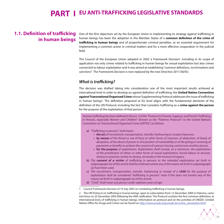# **PART I EU ANTI-TRAFFICKING LEGISLATIVE STANDARDS**

# **1.1. Definition of trafficking in human beings**

One of the first objectives set by the European Union in implementing its strategy against trafficking in human beings has been the adoption in the Member States of a **common definition of the crime of trafficking in human beings** and of proportionate criminal penalties, as an essential requirement for implementing a common action in criminal matters and for a more effective cooperation in the judicial field.

The Council of the European Union adopted in 2002 a Framework Decision<sup>1</sup> including in its scope of application not only crimes related to trafficking in human beings for sexual exploitation but also crimes connected to labour exploitation and it was aimed at establishing "*common definitions, incriminations and sanctions*". The Framework Decision is now replaced by the new Directive 2011/36/EU.

### *What is trafficking?*

The decision was drafted taking into consideration one of the most important results achieved at international level in order to develop an agreed definition of trafficking: the **United Nation Convention against Transnational Organised Crime** whose Supplementing Protocol addresses the issue of trafficking in human beings<sup>2</sup>. The definition proposed at EU level aligns with the fundamental elements of the definition of the UN Protocol, including the fact that considers trafficking as a **crime against the person** for the purpose of the exploitation of that person.

*Human trafficking has been defined in the art. 3 of the "Protocol to Prevent, Suppress and Punish Trafficking in Persons, especially Women and Children" (known as the "Palermo Protocol") to the United Nations Convention on Transnational Organised Crime (UNTOC) as follows:*

- **a)** *"Trafficking in persons" shall mean:* 
	- **• the act** *of recruitment, transportation, transfer, harbouring or receipt of persons,*
	- **• by means** *of the threat or use of force or other forms of coercion, of abduction, of fraud, of deception, of the abuse of power or of a position of vulnerability or of the giving or receiving of payments or benefits to achieve the consent of a person having control over another person,*
	- **• for the purpose** *of exploitation. Exploitation shall include, at a minimum, the exploitation of the prostitution of others or other forms of sexual exploitation, forced labour or services, slavery or practices similar to slavery, servitude or the removal of organs;*
- **b)** *The* **consent of a victim** *of trafficking in persons to the intended exploitation set forth in subparagraph (a) of this article shall be irrelevant where any of the means set forth in subparagraph (a) have been used.*
- **c)** *The recruitment, transportation, transfer, harbouring or receipt of a* **child** *for the purpose of exploitation shall be considered "trafficking in persons" even if this does not involve any of the means set forth in subparagraph (a) of this article;*
- **d)** *"Child" shall mean any person under eighteen years of age.*

1 Council Framework Decision of 19 July 2002 on combating trafficking in human beings.

2 The UN Protocol on trafficking in human beings, open to subscription from 12 December 2000 in Palermo, came into force on 25 December 2003 following the 40th ratification. The Protocol contains the first common definition, at international level, of trafficking in human beings. Information on protocol and on the activities of UNODC (United Nation Office for Drugs and Crime) can be found on http://www.unodc.org/unodc/en/crime\_prevention.html

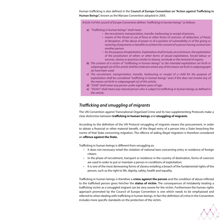Human trafficking is also defined in the **Council of Europe Convention on "Action against Trafficking in Human Beings",** known as the Warsaw Convention adopted in 2005.

*Article 4 of the council of Europe Convention defines "trafficking in human beings" as follows:*

- **a)** *"Trafficking in human beings" shall mean:* 
	- • *the recruitment, transportation, transfer, harbouring or receipt of persons,*
	- • *means of the threat or use of force or other forms of coercion, of abduction, of fraud, of deception, of the abuse of power or of a position of vulnerability or of the giving or receiving of payments or benefits to achieve the consent of a person having control over another person,*
	- • *for the purpose of exploitation. Exploitation shall include, at a minimum, the exploitation of the prostitution of others or other forms of sexual exploitation, forced labour or services, slavery or practices similar to slavery, servitude or the removal of organs;*
- **b)** *The consent of a victim of "trafficking in human beings" to the intended exploitation set forth in subparagraph (a) of this article shall be irrelevant where any of the means set forth in subparagraph (a) have been used;*
- **c)** *The recruitment, transportation, transfer, harbouring or receipt of a child for the purpose of exploitation shall be considered "trafficking in human beings" even if this does not involve any of the means set forth in subparagraph (a) of this article;*
- **d)** *"Child" shall mean any person under eighteen years of age;*
- **e)** *"Victim" shall mean any natural person who is subject to trafficking in human beings as defined in this article.*

# *Trafficking and smuggling of migrants*

The UN Convention against Transnational Organised Crime and its two supplementing Protocols make a clear distinction between **trafficking in human beings** and **smuggling of migrants**.

According to the definition of the UN Protocol smuggling of migrants means the procurement, in order to obtain a financial or other material benefit, of the illegal entry of a person into a State breaching the norms of that State concerning migration. The offence of aiding illegal migration is therefore considered an **offence against the State.**

Trafficking in human beings is different from smuggling as:

- It does not necessary entail the violation of national laws concerning entry or residence of foreign citizen;
- In the phase of recruitment, transport or residence in the country of destination, forms of coercion are used in order to put or maintain a person in conditions of exploitation;
- It is one of the most demeaning forms of slavery entailing a breach of the fundamental rights of the person, such as the right to life, dignity, safety, health and equality.

Trafficking in human beings is therefore a **crime against the person** and the condition of abuse inflicted to the trafficked person gives him/her the **status of victim**. The consequences of mistakenly treating a trafficking victim as a smuggled migrant can be very severe for the victim. Furthermore the human rights approach promoted by the Council of Europe Convention is one which needs to be emphasised and referred to when dealing with trafficking in human beings. In fact the definition of crime in the Convention includes more specific standards on the protection of the victim.

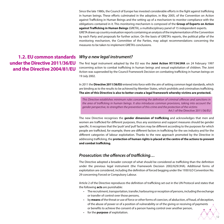Since the late 1980s, the Council of Europe has invested considerable efforts in the fight against trafficking in human beings. These efforts culminated in the adoption, in May 2005, of the Convention on Action against Trafficking in Human Beings and the setting up of a mechanism to monitor compliance with the obligations contained in it. This monitoring mechanism is composed of the **Group of Experts on Action against Trafficking in Human Beings** (GRETA), a multidisciplinary panel of 15 independent experts. GRETA draws up country evaluation reports containing an analysis of the implementation of the Convention by each Party and proposals for further action. On the basis of GRETA's reports, the political pillar of the monitoring mechanism, the Committee of the Parties, may adopt recommendations concerning the measures to be taken to implement GRETA's conclusions.

The first legal instrument adopted by the EU was the **Joint Action 97/154/JHA** on 24 February 1997 concerning action to combat trafficking in human beings and sexual exploitation of children. The Joint Action was superseded by the Council Framework Decision on combating trafficking in human beings on 19 July 2002.

In 2011 the **Directive 2011/36/EU** entered into force with the aim of setting common legal standards, which are binding as to the results to be achieved by Member States, which prohibits and criminalises trafficking. **The aim of this Directive is also to better create a legal framework whereby victims are protected.**

*This Directive establishes minimum rules concerning the definition of criminal offences and sanctions in the area of trafficking in human beings. It also introduces common provisions, taking into account the gender perspective, to strengthen the prevention of this crime and the protection of the victims* Art.1 of the Directive 2011/36/EU

The new Directive recognises the **gender dimension of trafficking** and acknowledges that men and women are trafficked for different purposes, thus any assistance and support measures should be gender specific. It recognises that the 'push' and 'pull' factors may be different according to the purposes for which people are trafficked, for example, there are different factors in trafficking for the sex industry and for the different categories of labour exploitation. Thanks to the new approach promoted by the Directive in addressing trafficking, the **protection of human rights is placed at the centre of the actions to prevent and combat trafficking.**

### *Prosecution: the offences of trafficking…*

The Directive adopted a broader concept of what should be considered as trafficking than the definition under the previous legal instrument (the Framework Decision 2002/629/JHA). Additional forms of exploitation are considered, including the definition of forced begging under the 1930 ILO Convention No. 29 concerning Forced or Compulsory Labour.

Article 2 of the Directive reproduces the definition of trafficking set out in the UN Protocol and states that the following **acts** are punishable:

- • The recruitment, transportation, transfer, harbouring or reception of persons, including the exchange or transfer of control over those persons,
- by **means** of the threat or use of force or other forms of coercion, of abduction, of fraud, of deception, of the abuse of power or of a position of vulnerability or of the giving or receiving of payments or benefits to achieve the consent of a person having control over another person,
- for the **purpose** of exploitation.

# **1.2. EU common standards**  *Why a new legal instrument?* **under the Directive 2011/36/EU and the Directive 2004/81/EU**

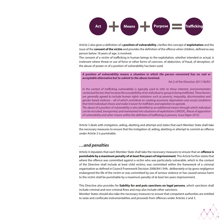

Article 2 also gives a definition of a **position of vulnerability**, clarifies the concept of **exploitation** and the issue of the **consent of the victim** and provides the definition of the offence when children, defined as any person below 18 years of age, is involved.

The consent of a victim of trafficking in human beings to the exploitation, whether intended or actual, is irrelevant where threat or use of force or other forms of coercion, of abduction, of fraud, of deception, of the abuse of power or of a position of vulnerability has been used.

**A position of vulnerability means a situation in which the person concerned has no real or acceptable alternative but to submit to the abuse involved.**

Art.2 of the Directive 2011/36/EU

*In the contest of trafficking vulnerability is typically used to refer to those inherent, environmentalor contextual factors that increase the susceptibility of an individual or group to being trafficked. These factors are generally agreed to include human rights violations such as poverty, inequality, discrimination and gender based violence – all of which contribute to creating economic deprivation and social conditions that limit individual choice and make it easier for traffckers and exploiters to operate. The abuse of a position of vulnerability is also identified as an additional means through which individual can be recruited, transported, and maintained into situations of exploitation (UNODC, Abuse of apposition of vulnerability and other means within the definition of trafficking in persons, Issue Paper 2012)* 

Article 3 deals with instigation, aiding, abetting and attempt and states that each Member State shall take the necessary measures to ensure that the instigation of, aiding, abetting or attempt to commit an offence under Article 2 is punishable.

### *…and penalties*

Article 4 stipulates that each Member State shall take the necessary measures to ensure that an **offence is punishable by a maximum penalty of at least five years of imprisonment**. This Article further states that where the offence was committed against a victim who was particularly vulnerable, which in the context of the Directive shall include at least child victims; was committed within the framework of a criminal organisation as defined in Council Framework Decision 2008/841/JHA; deliberately or by gross negligence endangered the life of the victim or was committed by use of serious violence or has caused serious harm to the victim shall be punishable by a maximum penalty of at least ten years imprisonment.

This Directive also provides for **liability for and puts sanctions on legal persons**, which sanctions shall include criminal and non-criminal fines and may also include other sanctions.

Member States should also take the necessary measures to ensure that competent authorities are entitled to seize and confiscate instrumentalities and proceeds from offences under Articles 2 and 3.

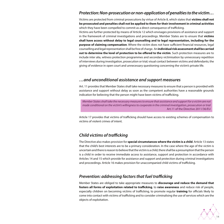## *Protection: Non-prosecution or non-application of penalties to the victim…*

Victims are protected from criminal prosecutions by virtue of Article 8, which states that **victims shall not be prosecuted and penalties shall not be applied to them for their involvement in criminal activities** which they have been compelled to commit as a direct consequence of trafficking.

Victims are further protected by means of Article 12 which envisages provisions of assistance and support in the framework of criminal investigations and proceedings. Member States are to ensure that **victims shall have access without delay to legal counselling and to legal representation, including for the purpose of claiming compensation**. Where the victim does not have sufficient financial resources, legal counselling and legal representation shall be free of charge. An **individual risk assessment shall be carried out to determine the level of protection to be offered to the victim**. Such protection measures are to include inter alia, witness protection programmes and secondary victimisation by unnecessary repetition of interviews during investigation, prosecution or trial; visual contact between victims and defendants; the giving of evidence in open court and unnecessary questioning concerning the victim's private life.

### *…and unconditional assistance and support measures*

Art. 11 provides that Member States shall take necessary measures to ensure that a person is provided with assistance and support without delay as soon as the competent authorities have a reasonable grounds indication for believing that the person might have been victims of trafficking.

*Member States shall take the necessary measures to ensure that assistance and support for a victim are not made conditional on the victim's willingness to cooperate in the criminal investigation, prosecution or trial* Art.11 of the Directive 2011/36/EU

Article 17 provides that victims of trafficking should have access to existing schemes of compensation to victims of violent crimes of intent.

# *Child victims of trafficking*

The Directive also makes provision for **special circumstances where the victim is a child**. Article 13 states that the child's best interests are to be a primary consideration. In the case where the age of the victim is uncertain and there is reason to believe that the victim is a child, there shall be a presumption that the person is a child in order to receive immediate access to assistance, support and protection in accordance with Articles 14 and 15 which provide for assistance and support and protection during criminal investigations and proceedings. Article 16 makes provision for unaccompanied child victims of trafficking.

### *Prevention: addressing factors that fuel trafficking*

Member States are obliged to take appropriate measures to **discourage and reduce the demand that fosters all forms of exploitation related to trafficking**, to **raise awareness** and reduce risk of people, especially children on becoming victims of trafficking, to promote regular **training** for officials likely to come into contact with victims of trafficking and to consider criminalising the use of services which are the objects of exploitation.

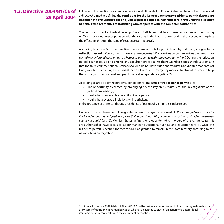# **1.3. Directive 2004/81/CE of 29 April 2004**

In line with the creation of a common definition at EU level of trafficking in human beings, the EU adopted a directive<sup>3</sup> aimed at defining the **conditions for the issue of a temporary residence permit depending on the length of investigations and judicial proceedings against traffickers in favour of third-country nationals who are victims of trafficking who cooperate with the competent authorities**.

The purpose of the directive is allowing police and judicial authorities a more effective means of combating traffickers by favouring cooperation with the victims in the investigations during the proceedings against the offenders through the issue of residence permit (art.1).

According to article 6 of the directive, the victims of trafficking, third-country nationals, are granted a **reflection period** "*allowing them to recover and escape the influence of the perpetrators of the offences so they can take an informed decision as to whether to cooperate with competent authorities*". During the reflection period it is not possible to enforce any expulsion order against them. Member States should also ensure that the third-country nationals concerned who do not have sufficient resources are granted standards of living capable of ensuring their subsistence and access to emergency medical treatment in order to help them to regain their material and psychological independence (article 7).

According to article 8 of the directive, conditions for the issue of the **residence permit** are:

- • The opportunity presented by prolonging his/her stay on its territory for the investigations or the judicial proceedings;
- • He/she has shown a clear intention to cooperate
- • He/she has severed all relations with traffickers.

In the presence of these conditions a residence of permit of six months can be issued.

Holders of the residence permit are granted access to programmes aimed at "*the recovery of a normal social life, including courses designed to improve their professional skills, or preparation of their assisted return to their country of origin*" (art.12). Member States define the rules under which holders of the residence permit are authorised to have access to labour market, to vocational training and education (art.11). Once the residence permit is expired the victim could be granted to remain in the State territory according to the national laws on migration.

<sup>3</sup> Council Directive 2004/81/EC of 29 April 2002 on the residence permit issued to third-country nationals who are victims of trafficking in human beings or who have been the subject of an action to facilitate illegal immigration, who cooperate with the competent authorities.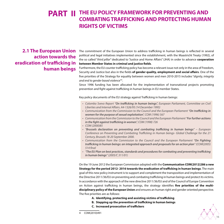# **PART II THE EU POLICY FRAMEWORK FOR PREVENTING AND COMBATING TRAFFICKING AND PROTECTING HUMAN RIGHTS OF VICTIMS**

# **2.1 The European Union action towards the eradication of trafficking in human beings**

The commitment of the European Union to address trafficking in human beings is reflected in several political and legal initiatives implemented since the establishment, with the Maastricht Treaty (1992), of the so called "*third pillar*" dedicated to "Justice and Home Affairs" (JHA) in order to advance **cooperation between Member States in criminal and justice fields**.

Furthermore, the EU counter trafficking policy has become a relevant issue not only in the area of Freedom, Security and Justice but also in the fields **of gender quality, employment and social affairs**. One of the five priorities of the Strategy for equality between women and men 2010-2015 includes "*dignity, integrity and end to gender based violence*"4 .

Since 1996 funding has been allocated for the implementation of transnational projects promoting prevention and fight against trafficking in human beings in EU member States.

Key policy documents of the EU strategy against Trafficking in human beings:

- • *Colombo Svevo Report "On trafficking in human beings", European Parliament, Committee on Civil Liberties and Internal Affairs. A4-1326/95 (14 December 1995)*
- • *Communication from the Commission to the Council and the European Parliament "On trafficking in women for the purpose of sexual exploitation", COM (1996) 567*
- • *Communication from the Commission to the Council and the European Parliament "For further actions in the fight against trafficking in women", COM (1998) 726*
- • *COM (2000)85*
- • *"Brussels declaration on preventing and combating trafficking in human beings" European Conference on Preventing and Combating Trafficking in Human beings- Global Challenge for the 21 Century, Brussels 18-20 September 2000.*
- • *Communication from the Commission to the Council and the European Parliament "On Fighting trafficking in human beings: an integrated approach and proposals for an action plan" (COM(2005) 514 final*
- • *"The EU Plan on best practices, standards and procedures for combating and preventing trafficking in human beings" (2005/C 311/01)*

On the 19 June 2012 the European Commission adopted with the **Communication COM(2012)286 a new Strategy for the period 2012- 2016 towards the eradication of trafficking in human beings**. The main goal of this new policy instrument is to support and complement the transposition and implementation of the Directive 2011/36/EU on preventing and combating trafficking in human beings and protect its victims. In accordance with the approach of the new directive 2011/36/EU and of the Council of Europe Convention on Action against trafficking in human beings, the strategy identifies **five priorities of the multidisciplinary policy of the European Union** and ensures an human right and gender oriented perspective. The five priorities are as follows:

- **A. Identifying, protecting and assisting victims of trafficking**
- **B. Stepping up the prevention of trafficking in human beings**
- **C. Increased prosecution of traffickers**



COM(2010)491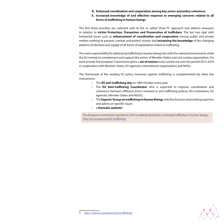- **D. Enhanced coordination and cooperation among key actors and policy coherence**
- **E. Increased knowledge of and effective response to emerging concerns related to all forms of trafficking in human beings**

The first three priorities are coherent with to the so called "*three Ps*" approach and address measures in relation to **victim Protection, Prevention and Prosecution of traffickers**. The last two deal with horizontal issues such as **enhancement of coordination and cooperation** among public and private entities working to prevent, combat and protect victims and **increasing the knowledge** of the changing patterns of demand and supply of all forms of exploitation linked to trafficking.

The main responsibility for addressing trafficking in human beings lies with the national Governments while the EU intends to complement and support the action of Member States and civil society organisation. For each priority the European Commission plans a **set of actions** to be carried out over the period 2012-2016 in cooperation with Member States, EU agencies, International organisations and NGOs.

The framework of the existing EU policy measures against trafficking is complemented by other key instruments:

- • The **EU anti-trafficking day** on 18th October every year;
- • The **EU Anti-trafficking Coordinator** who is expected to improve coordination and coherence between different actors involved in anti-trafficking policies (EU institutions, EU agencies, Member States and NGOs);
- • The **Experts' Group on trafficking in Human Beings** with the function of providing expertice and advice on specific issues
- • a **thematic website5** .

*The European Commission lauched in 2010 a website devoted to combatig trafficking in human beings: http://ec.europa.eu/anti-trafficking*

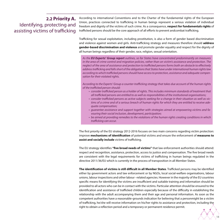# **2.2 Priority A.** Identifying, protecting and assisting victims of trafficking

According to international Conventions and to the Charter of the fundamental rights of the European Union, practices connected to trafficking in human beings represent a serious violation of individual freedom and dignity of the victims of such crime. As a consequence, **respect for fundamentals rights** of trafficked persons should be the core approach of all efforts to prevent andcombat trafficking.

Trafficking for sexual exploitation, including prostitution, is also a form of gender based discrimination and violence against women and girls. Anti-trafficking strategy and measures therefore should **address gender-based discrimination and violence** and promote gender equality and respect for the dignity of all human beings regardless of their gender, race, religion, sexual orientation.

*As the* **EU Experts' Group report** *outlines, so far States have concentrated predominantly on measures in the area of crime control and migration policies, rather than on victim's assistance and protection. The neglect of the area of assistance and protection to trafficked persons forms both an obstacle to effectively address trafficking and falls short of the obligations that States have under international human rights law according to which trafficked persons should have access to protection, assistance and adequate compensation for their violated rights.*

*According to the Experts' Group a counter-trafficking strategy that takes due account of the human rights of the trafficked person should:* 

- • *consider trafficked person as a holder of rights. This includes minimum standards of treatment that all trafficked persons are entitled to as well as responsibilities of the institutional organisations;*
- • *consider trafficked persons as active subjects seeking for a change in their situation as well as victims of a crime and of a serious breach of human rights for which they are entitled to receive adequate compensation;*
- • *guarantee assistance and support together with strategies aimed at empowering victims and favouring their social inclusion, development, participation;*
- be aimed at providing remedies to the violations of the human rights creating conditions in which *trafficking can occur.*

The first priority of the EU strategy 2012-2016 focuses on two main concerns regarding victim protection: improve **mechanisms of identification** of potential victims and ensure the enforcement of **measures to assist and socially include** victims of trafficking.

The EU strategy identifies **"five broad needs of victims"** that law enforcement authorities should attend: respect and recognition, assistance, protection, access to justice and compensation. The five broad needs are consistent with the legal requirements for victims of trafficking in human beings regulated in the directive 2011/36/EU which is currently in the process of transposition in all Member States.

**The identification of victims is still difficult in all Member States**. Trafficked persons may be identified either by government actors and law enforcement or by NGOs, local social-welfare organisations, labour unions, labour inspections and other labour –related agencies. However in the majority of the EU countries specific means for identifying the victims are insufficient and suitable training and information should be provided to all actors who can be in contact with the victims. Particular attention should be ensured to the identification and assistance of trafficked children especially because of the difficulty in establishing the relationship with the adult accompanying them and their age and personal information. As soon as the competent authorities have a reasonable-grounds indication for believing that a personmight be a victim of trafficking, he/she will receive information on his/her rights to assistance and protection, including the right to obtain a reflection period and a temporary or permanent residence permit.

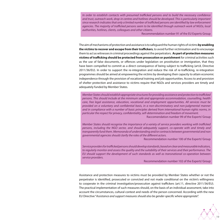*In order to establish contacts with presumed trafficked persons and to build the necessary confidence and trust, outreach work, drop-in centres and hotlines should be developed. This is particularly important since research indicates that only a limited number of trafficked persons are identified by law enforcement agencies. The majority of trafficked persons seem to be identified through outreach work of NGOs, local authorities, hotlines, clients, colleagues and other citizens.*

Recommendation number 91 of the EU Experts Group

The aim of mechanisms of protection and assistance is to safeguard the human rights of victims **by enabling the victims to recover and escape from their traffickers**, to avoid further victimisation and to encourage them to act as witnesses in criminal proceedings against the perpetrators. **As part of protection measures victims of trafficking should be protected from prosecution or punishment** for criminal activities such as the use of false documents, or offences under legislation on prostitution or immigration, that they have been compelled to commit as a direct consequence of being subject to trafficking (art.8, Directive 2011/36/EU). In order to support the re-integration and reduce the risk of re-trafficking, re-integration programmes should be aimed at empowering the victims by developing their capacity to attain economic independence through the provision of vocational training and job opportunities. Access to and provision of shelter protection and assistance to victims require that NGOs and services providers are timely and adequately funded by Member States.

*Member States should establish appropriate structures for providing assistance and protection to trafficked persons. This should include at the minimum safe and appropriate accommodation, counselling, health care, free legal assistance, education, vocational and employment opportunities. All services must be provided on a voluntary and confidential basis, in a non-discriminatory and non-judgmental manner and in compliance with a number of basic principles derived from international human rights norms, in particular the respect for privacy, confidentiality, self-determination and freedom of movement.*

Raccomendation number 99 of the Experts' Group

*Member States should recognise the importance of a variety of service providers working with trafficked persons, including the NGO sector, and should adequately support, co-operate with and timely and transparently fund them. Memoranda of understanding and/or contracts between governmental and non governmental agencies should clarify the roles of the different actors.*

Recommendation number 100 of the Experts' Group

*Service providers for trafficked persons should develop standards, based on clear and measurable indicators, to regularly monitor and assess the quality and the suitability of their services and their performance. The EU should support the development of such standards as well as transnational co-operation between service providers.*

Recommendation number 102 of the Experts' Group

Assistance and protection measures to victims must be provided by Member States whether or not the perpetrator is identified, prosecuted or convicted and not made conditional on the victim's willingness to cooperate in the criminal investigation/prosecution against traffickers (art.11, directive 2011/36/EU). The practical implementation of such measures should, on the basis of an individual assessment, take into account the circumstances, cultural context and needs of the person concerned. According with the new EU Directive "*Assistance and support measures should also be gender-specific where appropriate*".

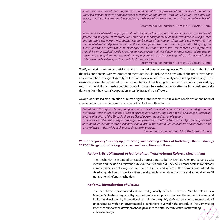*Return and social assistance programmes should aim at the empowerment and social inclusion of the trafficked person, whereby empowerment is defined as the process through which an individual can develop her/his ability to stand independently, make her/his own decisions and show control over her/his life.*

Recommendation number 112 of the EU Experts' Group

*Return and social assistance programs should rest on the following principles: voluntariness; protection of privacy and safety;167 strict protection of the confidentiality of the relation between the service provider and the trafficked person; non-stigmatisation; freedom of movement of the trafficked person;168 the treatment of trafficked persons in a respectful, non judgmental and non moralizing or patronizing way; the needs, views and concerns of the trafficked person should be at the centre. Elements of such programmes should be an individual needs assessment; regularization of the documentation status of the person concerned; appropriate housing; health care; psychological assistance; legal aid; assistance in finding viable means of existence; and support of self-organisation.*

Recommendation number 113 of the EU Experts' Group

Testifying victims are an essential resource in the judiciary action against traffickers, but in the light of the risks and threats, witness protection measures should include the provision of shelter or "*safe house*" accommodation, change of identity, re-location, special measures of safety and funding. If necessary, these measures should be extended to the victim's family. After having testified in the criminal proceedings, return of the victim to her/his country of origin should be carried out only after having considered risks deriving from the victims' cooperation in testifying against traffickers.

An approach based on protection of human rights of the victims must take into consideration the need of creating effective mechanisms for compensation for the suffered abuse.

*According to the Experts' Group, compensation is one of the essential phase for social –re-integration of victims. However, the possibilities of obtaining adequate compensation are not well developed at European level. A joint effort of the EU could show trafficked persons a special sign of support.*

*Provisions to enable trafficked persons to get compensation, in both civil and criminal proceedings, as well as through State compensation schemes, should include the right to free legal advice and assistance and a stay of deportation while such proceedings are in progress.* 

Recommendation number 128 of the Experts' Group

20

**Within the priority "identifying, protecting and assisting victims of trafficking", the EU strategy 2012-2016 against trafficking is focused on four actions as follows:**

#### **Action 1: Establishment of National and Transnational Referral Mechanisms**

The mechanism is intended to establish procedures to better identify, refer, protect and assist victims and include all relevant public authorities and civil society. Member Stateshave already committed to establishing this mechanism by the end of 2012. The Commission intends to develop guidelines on how to further develop such national mechanisms and a model for an EU transnational referral mechanism.

#### *A***ction 2: Identification of victims**

The identification process and criteria used generally differ between the Member States. Few Member States have regulated by law the identification process. Some of theme use guidelines and indicators developed by international organisation (e.g. ILO, IOM), others refer to memoranda of understanding with non governmental organisations involvedin the procedure. The Commission intends to support the development of guidelines to better identify victims of trafficking in human beings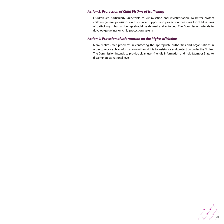#### **Action 3: Protection of Child Victims of trafficking**

Children are particularly vulnerable to victimisation and revictimisation. To better protect children general provisions on assistance, support and protection measures for child victims of trafficking in human beings should be defined and enforced. The Commission intends to develop guidelines on child protection systems.

#### **Action 4: Provision of Information on the Rights of Victims**

Many victims face problems in contacting the appropriate authorities and organisations in order to receive clear information on their rights to assistance and protection under the EU law. The Commission intends to provide clear, user-friendly information and help Member State to disseminate at national level.

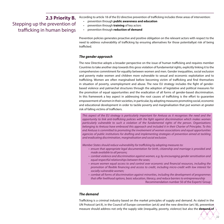# **2.3 Priority B.** Stepping up the prevention of trafficking in human beings

According to article 18 of the EU directive prevention of trafficking includes three areas of intervention:

- prevention through **public awareness and education**
- prevention through **training** of key actors
- • prevention through **reduction of demand**

Prevention policies generates proactive and positive obligation on the relevant actors with respect to the need to address vulnerability of trafficking by ensuring alternatives for those potentiallyat risk of being trafficked.

#### **The gender approach**

The new Directive adopts a broader perspective on the issue of human trafficking and requires member Countries to take another step towards this gross violation of fundamental rights, explicitly linking it to the comprehensive commitment for equality between women and men. Gender inequalities, social exclusion and poverty make women and children more vulnerable to sexual and economic exploitation and to trafficking. Women are often marginalised before becoming victim of trafficking and find themselves in situation of poverty, unemployment and abuse. The new EU strategy includes the fight of genderbased violence and patriarchal structures through the adoption of legislative and political measures for the promotion of equal opportunities and the eradication of all forms of gender-based discrimination. In this framework a key aspect in addressing the root causes of trafficking is the effort to guarantee empowerment of women in their societies, in particular, by adopting measures promoting social, economic and educational development in order to tackle poverty and marginalisation that put women at greater risk of falling victims of traffickers.

*This aspect of the EU strategy is particularly important for Aretusa as it recognises the need and the opportunity to link anti-trafficking policies with the fight against discrimination which makes women particularly vulnerable to such a violation of the fundamental rights of the person. Organisations belonging to Aretusa have embraced this approach and included it in their Charter of Principles. To this end Aretusa is committed to promoting the involvement of women associations and equal opportunities agencies of public institutions for drafting and implementing strategies of prevention aimed at tackling and eradicating discrimination, marginalisation and social exclusion.*

*Member States should reduce vulnerability for trafficking by adopting measures to:*

- • *ensure that appropriate legal documentation for birth, citizenship and marriage is provided and made available to all persons;*
- • *combat violence and discrimination against women, e.g. by encouraging gender sensitisation and equal respectful relationships between the sexes;*
- • *ensure women equal access to and control over economic and financial resources, including the promotion of flexible financing and access to credit, including micro-credit with low interest for socially vulnerable women;*
- • *combat all forms of discrimination against minorities, including the development of programmes that offer livelihood options, basic education, literacy, and reduce barriers to entrepreneurship*  Recommendation number 50 of the Experts' Group

#### **The demand**

Trafficking is a criminal industry based on the market principles of supply and demand. As stated in the UN Protocol (art.9), in the Council of Europe convention (art.6) and the new directive (art.18), prevention measure should address not only the supply side (inequality, poverty, violence) but also the **demand of**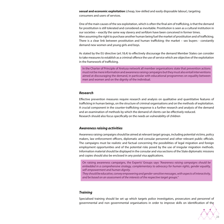**sexual and economic exploitation** (cheap, low-skilled and easily disposable labour), targeting consumers and users of services.

One of the main causes of the sex exploitation, which is often the final aim of trafficking, is that the demand for prostitution is still tolerated and considered as inevitable. Prostitution is seen as a cultural institution in our societies – exactly the same way slavery and serfdom have been conceived in former times. Men assuming the right to purchase another human being fuel the market of prostitution and of trafficking. There is a clear link between prostitution and human trafficking: the market – sex buyers - constantly demand new women and young girls and boys.

As stated by the EU directive (art.18,4) to effectively discourage the demand Member States can consider to take measures to establish as a criminal offence the use of service which are objective of the exploitation in the framework of trafficking.

In the Charter of Principle of Aretusa network all member organisations state that prevention actions must not be mere information and awareness raising campaigns but they must also entail interventions aimed at discouraging the demand, in particular with educational programmes on equality between men and women and on the dignity of the individual.

#### **Research**

Effective prevention measures require research and analysis on qualitative and quantitative features of trafficking in human beings, on the structure of criminal organisations and on the methods of exploitation. A crucial component in the counter-trafficking response is a further research and analysis of the demand and an examination of methods by which the demand of clients can be effectively reduced. Research should also focus specifically on the needs an vulnerability of children

#### **Awareness raising activities**

Awareness raising campaigns should be aimed at relevant target groups, including potential victims, policy makers, law enforcement officers, diplomatic and consular personnel and other relevant public officials. The campaigns must be realistic and factual concerning the possibilities of legal migration and foreign employment opportunities and of the potential risks posed by the use of irregular migration methods. Information material should be displayed in the consular and visa sections of the State diplomatic missions and copies should also be enclosed in any postal visa applications.

On raising awareness campaigns, the Experts' Groups says *"Awareness raising campaigns should be embedded in a comprehensive strategy, complementary to advocacy for human rights, gender equality, self-empowerment and human dignity.* 

*They should be educative, convey empowering and gender-sensitive messages, with aspects of interactivity, and be based on an assessment of the interests of the respective target groups."*

#### **Training**

Specialised training should be set up which targets police investigators, prosecutors and personnel of governmental and non governmental organisations in order to improve skills on identification of the

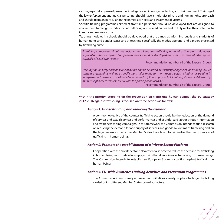victims, especially by use of pro-active intelligence led investigative tactics, and their treatment. Training of the law enforcement and judicial personnel should have a multi-disciplinary and human rights approach and should focus, in particular on the immediate needs and treatment of victims.

Specific training programmes aimed at front-line personnel should be developed that are designed to enable them to recognise indicators of trafficking and related crimes and to fully realise their potential to identify and rescue victims.

Teaching modules in schools should be developed that are aimed at informing pupils and students of human rights and gender issues and at teaching specifically the modus operandi and dangers presented by trafficking crime.

*A training component should be included in all counter-trafficking national action plans. Moreover, regional anti-trafficking and European modules should be developed and mainstreamed into the regular curricula of all relevant actors.* 

Recommendation number 65 of the Experts' Group

*Training should target a wide scope of actors and be delivered by a variety of agencies. All training should contain a general as well as a specific part tailor made for the targeted actors. Multi-actor training is indispensable to ensure a coordinated and multi-disciplinary approach. All training should be delivered by multi-disciplinary teams, especially with the participation of NGOs.* 

Recommendation number 66 of the Experts' Group

**Within the priority "stepping up the prevention on trafficking human beings", the EU strategy 2012-2016 against trafficking is focused on three actions as follows:** 

#### **Action 1: Understanding and reducing the demand**

A common objective of the counter trafficking action should be the reduction of the demand of services and sexual services and performances and of underpaid labour through information and awareness raising campaigns. In this framework the Commission intends to fund research on reducing the demand for and supply of services and goods by victims of trafficking and on the legal measures that some Member States have taken to criminalise the use of services of trafficking in human beings.

#### **Action 2: Promote the establishment of a Private Sector Platform**

Cooperation with the private sector is also essential in order to reduce the demand for trafficking in human beings and to develop supply chains that do not involve trafficking in human beings. The Commission intends to establish an European Business coalition against trafficking in human beings.

#### **Action 3: EU–wide Awareness Raising Activities and Prevention Programmes**

The Commission intends analyse prevention initiatives already in place to target trafficking carried out in different Member States by various actors.

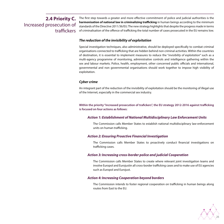# **2.4 Priority C.** Increased prosecution of traffickers

The first step towards a greater and more effective commitment of police and judicial authorities is the **harmonisation of national law in criminalizing trafficking** in human beings according to the minimum standards of the Directive 2011/36/EU. The new strategy highlights that despite the progress made in terms of criminalisation of the offence of trafficking the total number of cases prosecuted in the EU remains low.

#### **The reduction of the invisibility of exploitation**

Special investigation techniques, also administrative, should be deployed specifically to combat criminal organisations connected to trafficking that are hidden behind non criminal activities. Within the countries of destination, it is essential to implement measures to reduce the "*invisibility of exploitation*" such as a multi-agency programme of monitoring, administrative controls and intelligence gathering within the sex and labour markets. Police, health, employment, other concerned public officials and international, governmental and non governmental organisations should work together to impose high visibility of exploitation.

#### **Cyber crime**

An integrant part of the reduction of the invisibility of exploitation should be the monitoring of illegal use of the Internet, especially in the commercial sex industry.

**Within the priority "increased prosecution of trafickers", the EU strategy 2012-2016 against trafficking is focused on four actions as follows:**

#### **Action 1: Establishment of National Multidisciplinary Law Enforcement Units**

The Commission calls Member States to establish national multidisciplinary law-enforcement units on human trafficking.

#### **Action 2: Ensuring Proactive Financial Investigation**

The Commission calls Member States to proactively conduct financial investigations on trafficking cases.

#### **Action 3: Increasing cross-border police and judicial Cooperation**

The Commission calls Member States to create where relevant joint investigation teams and involve Europol and Eurojustin all cross-border trafficking cases and to make use of EU agencies such as Europol and Eurojust.

#### **Action 4: Increasing Cooperation beyond borders**

The Commission intends to foster regional cooperation on trafficking in human beings along routes from East to the EU.

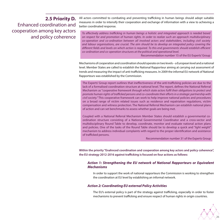**2.5 Priority D.** Enhanced coordination and cooperation among key actors and policy coherence

All actors committed to combating and preventing trafficking in human beings should adopt suitable measures in order to intensify their cooperation and exchange of information with a view to achieving a better coordinated response.

*To effectively address trafficking in human beings a holistic and integrated approach is needed based on respect for and promotion of human rights. In order to realize such an approach multidisciplinary co-operation and co-ordination between all involved actors and stakeholders, including civil society and labour organisations, are crucial. The aim should be to develop an integrated policy covering the different fields and levels on which action is required. To this end governments should establish efficient co-ordination and co-operation structures at the political and operational level.* 

Recommendation number 15 of the EU Experts' Group

Mechanisms of cooperation and coordination should operate on two levels – a European level and a national level. Member States are called to establish the National Rapporteur aiming at carrying out assessment of trends and measuring the impact of anti-trafficking measures. In 2009 the informal EU network of National Rapporteurs was established by the Commission.

The Experts' Group report outlines that ineffectiveness of the anti-trafficking policies are due to the lack of a formalised coordination structure at national level. The report, defines the National Referral Mechanism as "*cooperative framework through which state actors fulfil their obligations to protect and promote human rights of trafficked persons and co-coordinate their efforts in a strategic partnership with civil society.*" This cooperative framework can work to help improve national policies and procedures on a broad range of victim related issues such as residence and repatriation regulations, victim compensation and witness protection. The National Referral Mechanism can establish national plans of action and can set benchmarks to assess whether goals are being met.

Coupled with a National Referral Mechanism Member States should establish a governmental coordination structure consisting of a National Governmental Coordinator and a cross-sector and multidisciplinary Round Table to develop, coordinate, monitor and evaluate national action plans and policies. One of the tasks of the Round Table should be to develop a quick and "*light weight*" mechanism to address individual complaints with regard to the proper identification and assistance of trafficked persons.

Recommendation number 31 of the Experts Group

**Within the priority "Enahnced coordination and cooperation among key actors and policy coherence", the EU strategy 2012-2016 against trafficking is focused on four actions as follows:** 

#### **Action 1: Strengthening the EU network of National Rapporteurs or Equivalent Mechanisms**

In order to support the work of national rapporteurs the Commission is working to strengthen the coordination at EU level by establishing an informal network.

#### **Action 2: Coordinating EU external Policy Activities**

The EU's external policy is part of the strategy against trafficking, especially in order to foster mechanisms to prevent trafficking and ensure respect of human rights in origin countries.

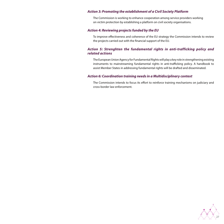#### **Action 3: Promoting the establishment of a Civil Society Platform**

The Commission is working to enhance cooperation among service providers working on victim protection by establishing a platform on civil society organisations.

#### **Action 4: Reviewing projects funded by the EU**

To improve effectiveness and coherence of the EU strategy the Commission intends to review the projects carried out with the financial support of the EU.

#### **Action 5: Strenghten the fundamental rights in anti-trafficking policy and related actions**

The European Union Agency for Fundamental Rights will play a key role in strengthening existing instruments to mainstreaming fundamental rights in anti-trafficking policy. A handbook to assist Member States in addressing fundamental rights will be drafted and disseminated.

#### **Action 6: Coordination training needs in a Multidisciplinary context**

The Commission intends to focus its effort to reinforce training mechanisms on judiciary and cross-border law enforcement.

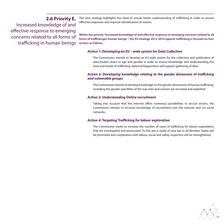# **2.6 Priority E.**

Increased knowledge of and effective response to emerging concerns related to all forms of trafficking in human beings The new strategy highlights the need to ensure better understanding of trafficking in order to ensure effective responses and improve identification of victims.

**Within the priority "Increased knowledge of and effective response to emerging concerns related to all forms of traffickingin human beings ", the EU strategy 2012-2016 against trafficking is focused on four actions as follows:** 

#### **Action 1: Developing an EU – wide system for Data Collection**

The Commission intends to develop an EU-wide system for the collection and publication of data broken down to age and gender in order to ensure knowledge and understanding the lows and trends of trafficking. National Rapporteurs will support gathering of data.

#### **Action 2: Developing knowledge relating to the gender dimension of trafficking and vulnerable groups**

The Commission intends to develop knowledge on the gender dimensions of human trafficking, including the gender specifities of the way men and women are recruited and exploited.

#### **Action 3: Understanding Online recruitment**

Taking into account that the internet offers numerous possibilities to recruit victims, the Commission intends to increase knowledge of recruitment over the internet and via social networks.

#### **Action 4: Targeting Trafficking forlabour exploration**

The Commission works to increase the number of cases of trafficking for labour exploitation that are investigated and prosecuted. To this aim a study of case law in all Member States will be promoted and cooperation with labour, social and safety inspectors will be strengthened.

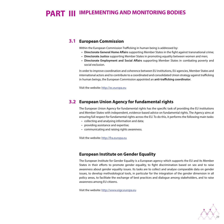# **PART III IMPLEMENTING AND MONITORING BODIES**

# **3.1 European Commission**

Within the European Commission Trafficking in human being is addressed by:

- **• Directorate General Home Affairs** supporting Member States in the fight against transnational crime;
- **• Directorate Justice** supporting Member States in promoting equality between women and men;
- **• Directorate Employment and Social Affairs** supporting Member States in combating poverty and social exclusion.

In order to improve coordination and coherence between EU institutions, EU agencies, Member States and international actors and to contribute to a coordinated and consolidated Union strategy against trafficking in human beings, the European Commission appointed an **anti-trafficking coordinator**.

Visit the website: http://ec.europa.eu

# **European Union Agency for fundamental rights 3.2**

The European Union Agency for fundamental rights has the specific task of providing the EU institutions and Member States with independent, evidence-based advice on fundamental rights. The Agency aims at ensuring full respect for fundamental rights across the EU. To do this, it performs the following main tasks:

- collecting and analysing information and data;
- providing assistance and expertise;
- • communicating and raising rights awareness.

Visit the website: http://fra.europa.eu

### **European Institute on Gender Equality**

The European Institute for Gender Equality is a European agency which supports the EU and its Member States in their efforts to promote gender equality, to fight discrimination based on sex and to raise awareness about gender equality issues. Its tasks are to collect and analyse comparable data on gender issues, to develop methodological tools, in particular for the integration of the gender dimension in all policy areas, to facilitate the exchange of best practices and dialogue among stakeholders, and to raise awareness among EU citizens.

Visit the website: http://www.eige.europa.eu

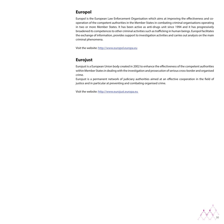# **Europol**

Europol is the European Law Enforcement Organisation which aims at improving the effectiveness and cooperation of the competent authorities in the Member States in combating criminal organisations operating in two or more Member States. It has been active as anti-drugs unit since 1994 and it has progressively broadened its competences to other criminal activities such as trafficking in human beings. Europol facilitates the exchange of information, provides support to investigation activities and carries out analysis on the main criminal phenomena.

Visit the website: http://www.europol.europa.eu

# **Eurojust**

Eurojust is a European Union body created in 2002 to enhance the effectiveness of the competent authorities within Member States in dealing with the investigation and prosecution of serious cross-border and organised crime.

Eurojust is a permanent network of judiciary authorities aimed at an effective cooperation in the field of justice and in particular at preventing and combating organised crime.

Visit the website: http://www.eurojust.europa.eu